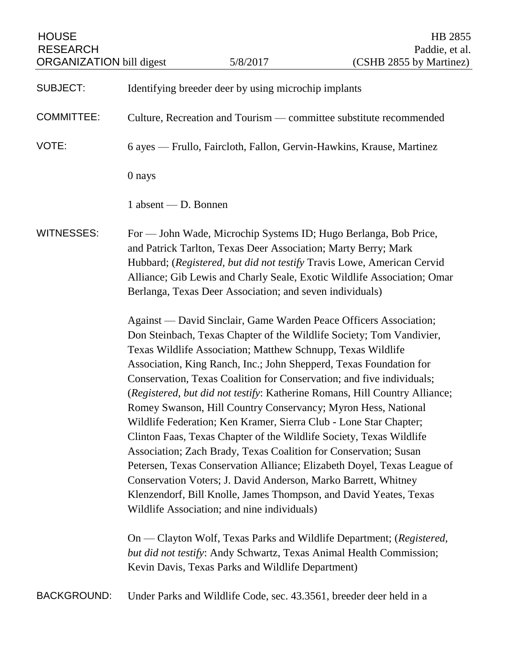| <b>HOUSE</b><br><b>RESEARCH</b><br><b>ORGANIZATION</b> bill digest |                                                                                                                                                                                                                                                                                                                                                                                                                                                                                                                                                                                                                                                                                                                                                                                                                                                                                                                                                                                                                                                                                                                                                                                                                                                                                                                                                                                                                                                                                               | 5/8/2017                                                             | HB 2855<br>Paddie, et al.<br>(CSHB 2855 by Martinez) |
|--------------------------------------------------------------------|-----------------------------------------------------------------------------------------------------------------------------------------------------------------------------------------------------------------------------------------------------------------------------------------------------------------------------------------------------------------------------------------------------------------------------------------------------------------------------------------------------------------------------------------------------------------------------------------------------------------------------------------------------------------------------------------------------------------------------------------------------------------------------------------------------------------------------------------------------------------------------------------------------------------------------------------------------------------------------------------------------------------------------------------------------------------------------------------------------------------------------------------------------------------------------------------------------------------------------------------------------------------------------------------------------------------------------------------------------------------------------------------------------------------------------------------------------------------------------------------------|----------------------------------------------------------------------|------------------------------------------------------|
| <b>SUBJECT:</b>                                                    | Identifying breeder deer by using microchip implants                                                                                                                                                                                                                                                                                                                                                                                                                                                                                                                                                                                                                                                                                                                                                                                                                                                                                                                                                                                                                                                                                                                                                                                                                                                                                                                                                                                                                                          |                                                                      |                                                      |
| <b>COMMITTEE:</b>                                                  | Culture, Recreation and Tourism — committee substitute recommended                                                                                                                                                                                                                                                                                                                                                                                                                                                                                                                                                                                                                                                                                                                                                                                                                                                                                                                                                                                                                                                                                                                                                                                                                                                                                                                                                                                                                            |                                                                      |                                                      |
| VOTE:                                                              |                                                                                                                                                                                                                                                                                                                                                                                                                                                                                                                                                                                                                                                                                                                                                                                                                                                                                                                                                                                                                                                                                                                                                                                                                                                                                                                                                                                                                                                                                               | 6 ayes — Frullo, Faircloth, Fallon, Gervin-Hawkins, Krause, Martinez |                                                      |
|                                                                    | 0 nays                                                                                                                                                                                                                                                                                                                                                                                                                                                                                                                                                                                                                                                                                                                                                                                                                                                                                                                                                                                                                                                                                                                                                                                                                                                                                                                                                                                                                                                                                        |                                                                      |                                                      |
|                                                                    | 1 absent — D. Bonnen                                                                                                                                                                                                                                                                                                                                                                                                                                                                                                                                                                                                                                                                                                                                                                                                                                                                                                                                                                                                                                                                                                                                                                                                                                                                                                                                                                                                                                                                          |                                                                      |                                                      |
| <b>WITNESSES:</b>                                                  | For — John Wade, Microchip Systems ID; Hugo Berlanga, Bob Price,<br>and Patrick Tarlton, Texas Deer Association; Marty Berry; Mark<br>Hubbard; (Registered, but did not testify Travis Lowe, American Cervid<br>Alliance; Gib Lewis and Charly Seale, Exotic Wildlife Association; Omar<br>Berlanga, Texas Deer Association; and seven individuals)<br>Against — David Sinclair, Game Warden Peace Officers Association;<br>Don Steinbach, Texas Chapter of the Wildlife Society; Tom Vandivier,<br>Texas Wildlife Association; Matthew Schnupp, Texas Wildlife<br>Association, King Ranch, Inc.; John Shepperd, Texas Foundation for<br>Conservation, Texas Coalition for Conservation; and five individuals;<br>(Registered, but did not testify: Katherine Romans, Hill Country Alliance;<br>Romey Swanson, Hill Country Conservancy; Myron Hess, National<br>Wildlife Federation; Ken Kramer, Sierra Club - Lone Star Chapter;<br>Clinton Faas, Texas Chapter of the Wildlife Society, Texas Wildlife<br>Association; Zach Brady, Texas Coalition for Conservation; Susan<br>Petersen, Texas Conservation Alliance; Elizabeth Doyel, Texas League of<br>Conservation Voters; J. David Anderson, Marko Barrett, Whitney<br>Klenzendorf, Bill Knolle, James Thompson, and David Yeates, Texas<br>Wildlife Association; and nine individuals)<br>On — Clayton Wolf, Texas Parks and Wildlife Department; (Registered,<br>but did not testify: Andy Schwartz, Texas Animal Health Commission; |                                                                      |                                                      |
|                                                                    |                                                                                                                                                                                                                                                                                                                                                                                                                                                                                                                                                                                                                                                                                                                                                                                                                                                                                                                                                                                                                                                                                                                                                                                                                                                                                                                                                                                                                                                                                               | Kevin Davis, Texas Parks and Wildlife Department)                    |                                                      |
| <b>BACKGROUND:</b>                                                 |                                                                                                                                                                                                                                                                                                                                                                                                                                                                                                                                                                                                                                                                                                                                                                                                                                                                                                                                                                                                                                                                                                                                                                                                                                                                                                                                                                                                                                                                                               | Under Parks and Wildlife Code, sec. 43.3561, breeder deer held in a  |                                                      |